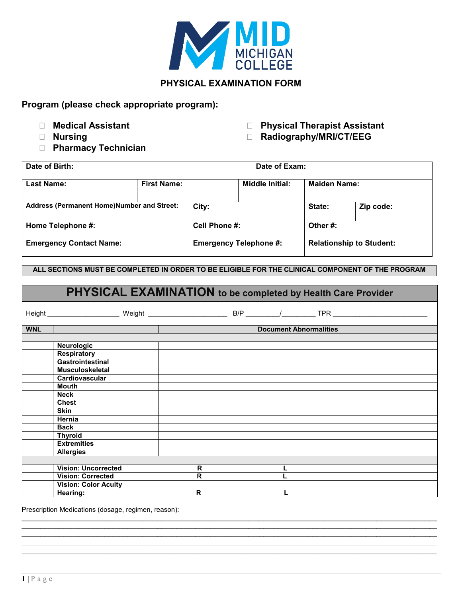

# **PHYSICAL EXAMINATION FORM**

**Program (please check appropriate program):**

- 
- 
- **Pharmacy Technician**
- **Medical Assistant Physical Therapist Assistant**

■ Nursing **Nursing <b>Radiography/MRI/CT/EEG** 

| Date of Birth:                                    |                    |                               |  | Date of Exam:                   |                     |           |
|---------------------------------------------------|--------------------|-------------------------------|--|---------------------------------|---------------------|-----------|
| <b>Last Name:</b>                                 | <b>First Name:</b> |                               |  | <b>Middle Initial:</b>          | <b>Maiden Name:</b> |           |
| <b>Address (Permanent Home)Number and Street:</b> |                    | City:                         |  |                                 | State:              | Zip code: |
| Home Telephone #:                                 |                    | Cell Phone #:                 |  | Other#:                         |                     |           |
| <b>Emergency Contact Name:</b>                    |                    | <b>Emergency Telephone #:</b> |  | <b>Relationship to Student:</b> |                     |           |

## **ALL SECTIONS MUST BE COMPLETED IN ORDER TO BE ELIGIBLE FOR THE CLINICAL COMPONENT OF THE PROGRAM**

| PHYSICAL EXAMINATION to be completed by Health Care Provider |                             |             |  |                               |  |
|--------------------------------------------------------------|-----------------------------|-------------|--|-------------------------------|--|
|                                                              |                             |             |  |                               |  |
| <b>WNL</b>                                                   |                             |             |  | <b>Document Abnormalities</b> |  |
|                                                              |                             |             |  |                               |  |
|                                                              | <b>Neurologic</b>           |             |  |                               |  |
|                                                              | <b>Respiratory</b>          |             |  |                               |  |
|                                                              | <b>Gastrointestinal</b>     |             |  |                               |  |
|                                                              | <b>Musculoskeletal</b>      |             |  |                               |  |
|                                                              | Cardiovascular              |             |  |                               |  |
|                                                              | Mouth                       |             |  |                               |  |
|                                                              | <b>Neck</b>                 |             |  |                               |  |
|                                                              | <b>Chest</b>                |             |  |                               |  |
|                                                              | <b>Skin</b>                 |             |  |                               |  |
|                                                              | Hernia                      |             |  |                               |  |
|                                                              | <b>Back</b>                 |             |  |                               |  |
|                                                              | <b>Thyroid</b>              |             |  |                               |  |
|                                                              | <b>Extremities</b>          |             |  |                               |  |
|                                                              | <b>Allergies</b>            |             |  |                               |  |
|                                                              |                             |             |  |                               |  |
|                                                              | <b>Vision: Uncorrected</b>  | R           |  |                               |  |
|                                                              | <b>Vision: Corrected</b>    | $\mathbf R$ |  |                               |  |
|                                                              | <b>Vision: Color Acuity</b> |             |  |                               |  |
|                                                              | Hearing:                    | R           |  |                               |  |

 $\bot$  , and the set of the set of the set of the set of the set of the set of the set of the set of the set of the set of the set of the set of the set of the set of the set of the set of the set of the set of the set of t  $\bot$  , and the set of the set of the set of the set of the set of the set of the set of the set of the set of the set of the set of the set of the set of the set of the set of the set of the set of the set of the set of t \_\_\_\_\_\_\_\_\_\_\_\_\_\_\_\_\_\_\_\_\_\_\_\_\_\_\_\_\_\_\_\_\_\_\_\_\_\_\_\_\_\_\_\_\_\_\_\_\_\_\_\_\_\_\_\_\_\_\_\_\_\_\_\_\_\_\_\_\_\_\_\_\_\_\_\_\_\_\_\_\_\_\_\_\_\_\_\_\_\_\_\_\_\_\_\_\_\_\_\_\_\_\_\_\_\_\_\_\_\_  $\_$  , and the state of the state of the state of the state of the state of the state of the state of the state of the state of the state of the state of the state of the state of the state of the state of the state of the

Prescription Medications (dosage, regimen, reason): \_\_\_\_\_\_\_\_\_\_\_\_\_\_\_\_\_\_\_\_\_\_\_\_\_\_\_\_\_\_\_\_\_\_\_\_\_\_\_\_\_\_\_\_\_\_\_\_\_\_\_\_\_\_\_\_\_\_\_\_\_\_\_\_\_\_\_\_\_\_\_\_\_\_\_\_\_\_\_\_\_\_\_\_\_\_\_\_\_\_\_\_\_\_\_\_\_\_\_\_\_\_\_\_\_\_\_\_\_\_